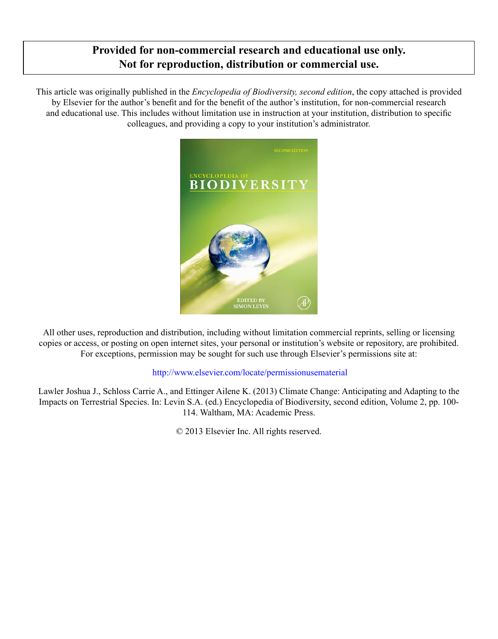# **Provided for non-commercial research and educational use only. Not for reproduction, distribution or commercial use.**

This article was originally published in the *Encyclopedia of Biodiversity, second edition*, the copy attached is provided by Elsevier for the author's benefit and for the benefit of the author's institution, for non-commercial research and educational use. This includes without limitation use in instruction at your institution, distribution to specific colleagues, and providing a copy to your institution's administrator.



All other uses, reproduction and distribution, including without limitation commercial reprints, selling or licensing copies or access, or posting on open internet sites, your personal or institution's website or repository, are prohibited. For exceptions, permission may be sought for such use through Elsevier's permissions site at:

# http://www.elsevier.com/locate/permissionusematerial

Lawler Joshua J., Schloss Carrie A., and Ettinger Ailene K. (2013) Climate Change: Anticipating and Adapting to the Impacts on Terrestrial Species. In: Levin S.A. (ed.) Encyclopedia of Biodiversity, second edition, Volume 2, pp. 100- 114. Waltham, MA: Academic Press.

© 2013 Elsevier Inc. All rights reserved.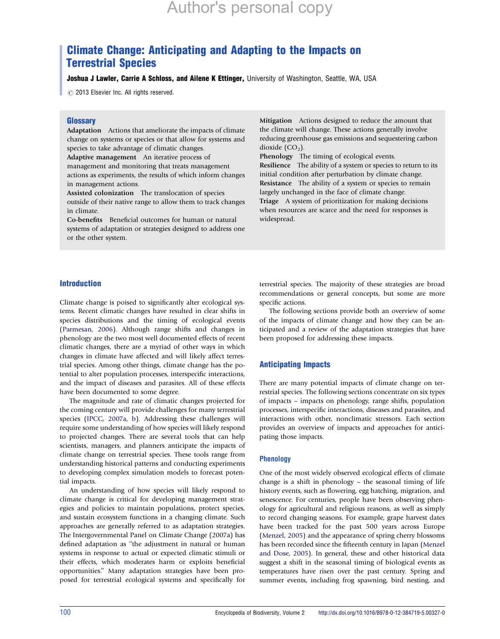# Climate Change: Anticipating and Adapting to the Impacts on Terrestrial Species

Joshua J Lawler, Carrie A Schloss, and Ailene K Ettinger, University of Washington, Seattle, WA, USA

 $\odot$  2013 Elsevier Inc. All rights reserved.

# **Glossary**

Adaptation Actions that ameliorate the impacts of climate change on systems or species or that allow for systems and species to take advantage of climatic changes.

Adaptive management An iterative process of

management and monitoring that treats management actions as experiments, the results of which inform changes in management actions.

Assisted colonization The translocation of species outside of their native range to allow them to track changes in climate.

Co-benefits Beneficial outcomes for human or natural systems of adaptation or strategies designed to address one or the other system.

Mitigation Actions designed to reduce the amount that the climate will change. These actions generally involve reducing greenhouse gas emissions and sequestering carbon dioxide  $(CO<sub>2</sub>)$ .

Phenology The timing of ecological events. Resilience The ability of a system or species to return to its initial condition after perturbation by climate change. Resistance The ability of a system or species to remain largely unchanged in the face of climate change. Triage A system of prioritization for making decisions when resources are scarce and the need for responses is widespread.

# Introduction

Climate change is poised to significantly alter ecological systems. Recent climatic changes have resulted in clear shifts in species distributions and the timing of ecological events ([Parmesan, 2006](#page-15-0)). Although range shifts and changes in phenology are the two most well documented effects of recent climatic changes, there are a myriad of other ways in which changes in climate have affected and will likely affect terrestrial species. Among other things, climate change has the potential to alter population processes, interspecific interactions, and the impact of diseases and parasites. All of these effects have been documented to some degree.

The magnitude and rate of climatic changes projected for the coming century will provide challenges for many terrestrial species [\(IPCC, 2007a,](#page-13-0) [b](#page-13-0)). Addressing these challenges will require some understanding of how species will likely respond to projected changes. There are several tools that can help scientists, managers, and planners anticipate the impacts of climate change on terrestrial species. These tools range from understanding historical patterns and conducting experiments to developing complex simulation models to forecast potential impacts.

An understanding of how species will likely respond to climate change is critical for developing management strategies and policies to maintain populations, protect species, and sustain ecosystem functions in a changing climate. Such approaches are generally referred to as adaptation strategies. The Intergovernmental Panel on Climate Change (2007a) has defined adaptation as ''the adjustment in natural or human systems in response to actual or expected climatic stimuli or their effects, which moderates harm or exploits beneficial opportunities.'' Many adaptation strategies have been proposed for terrestrial ecological systems and specifically for terrestrial species. The majority of these strategies are broad recommendations or general concepts, but some are more specific actions.

The following sections provide both an overview of some of the impacts of climate change and how they can be anticipated and a review of the adaptation strategies that have been proposed for addressing these impacts.

# Anticipating Impacts

There are many potential impacts of climate change on terrestrial species. The following sections concentrate on six types of impacts – impacts on phenology, range shifts, population processes, interspecific interactions, diseases and parasites, and interactions with other, nonclimatic stressors. Each section provides an overview of impacts and approaches for anticipating those impacts.

#### Phenology

One of the most widely observed ecological effects of climate change is a shift in phenology – the seasonal timing of life history events, such as flowering, egg hatching, migration, and senescence. For centuries, people have been observing phenology for agricultural and religious reasons, as well as simply to record changing seasons. For example, grape harvest dates have been tracked for the past 500 years across Europe [\(Menzel, 2005\)](#page-14-0) and the appearance of spring cherry blossoms has been recorded since the fifteenth century in Japan [\(Menzel](#page-14-0) and [Dose, 2005\)](#page-14-0). In general, these and other historical data suggest a shift in the seasonal timing of biological events as temperatures have risen over the past century. Spring and summer events, including frog spawning, bird nesting, and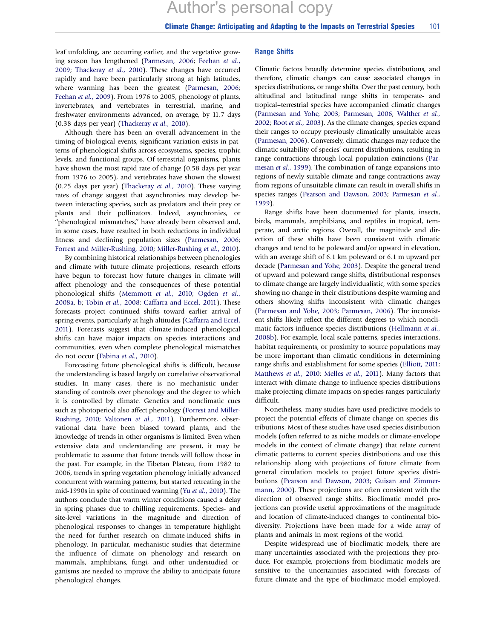leaf unfolding, are occurring earlier, and the vegetative growing season has lengthened ([Parmesan, 2006](#page-15-0); [Feehan](#page-13-0) et al., [2009](#page-13-0); [Thackeray](#page-15-0) et al., 2010). These changes have occurred rapidly and have been particularly strong at high latitudes, where warming has been the greatest ([Parmesan, 2006](#page-15-0); [Feehan](#page-13-0) et al., 2009). From 1976 to 2005, phenology of plants, invertebrates, and vertebrates in terrestrial, marine, and freshwater environments advanced, on average, by 11.7 days (0.38 days per year) [\(Thackeray](#page-15-0) et al., 2010).

Although there has been an overall advancement in the timing of biological events, significant variation exists in patterns of phenological shifts across ecosystems, species, trophic levels, and functional groups. Of terrestrial organisms, plants have shown the most rapid rate of change (0.58 days per year from 1976 to 2005), and vertebrates have shown the slowest (0.25 days per year) ([Thackeray](#page-15-0) et al., 2010). These varying rates of change suggest that asynchronies may develop between interacting species, such as predators and their prey or plants and their pollinators. Indeed, asynchronies, or "phenological mismatches," have already been observed and, in some cases, have resulted in both reductions in individual fitness and declining population sizes ([Parmesan, 2006](#page-15-0); [Forrest and Miller-Rushing, 2010;](#page-13-0) [Miller-Rushing](#page-14-0) et al., 2010).

By combining historical relationships between phenologies and climate with future climate projections, research efforts have begun to forecast how future changes in climate will affect phenology and the consequences of these potential phonological shifts [\(Memmott](#page-14-0) et al., 2010; [Ogden](#page-14-0) et al., [2008a](#page-14-0), [b](#page-15-0); Tobin et al.[, 2008;](#page-15-0) [Caffarra and Eccel, 2011](#page-13-0)). These forecasts project continued shifts toward earlier arrival of spring events, particularly at high altitudes ([Caffarra and Eccel,](#page-13-0) [2011](#page-13-0)). Forecasts suggest that climate-induced phenological shifts can have major impacts on species interactions and communities, even when complete phenological mismatches do not occur ([Fabina](#page-13-0) et al., 2010).

Forecasting future phenological shifts is difficult, because the understanding is based largely on correlative observational studies. In many cases, there is no mechanistic understanding of controls over phenology and the degree to which it is controlled by climate. Genetics and nonclimatic cues such as photoperiod also affect phenology [\(Forrest and Miller-](#page-13-0)[Rushing,](#page-13-0) 2010; [Valtonen](#page-15-0) et al., 2011). Furthermore, observational data have been biased toward plants, and the knowledge of trends in other organisms is limited. Even when extensive data and understanding are present, it may be problematic to assume that future trends will follow those in the past. For example, in the Tibetan Plateau, from 1982 to 2006, trends in spring vegetation phenology initially advanced concurrent with warming patterns, but started retreating in the mid-1990s in spite of continued warming (Yu et al.[, 2010](#page-15-0)). The authors conclude that warm winter conditions caused a delay in spring phases due to chilling requirements. Species- and site-level variations in the magnitude and direction of phenological responses to changes in temperature highlight the need for further research on climate-induced shifts in phenology. In particular, mechanistic studies that determine the influence of climate on phenology and research on mammals, amphibians, fungi, and other understudied organisms are needed to improve the ability to anticipate future phenological changes.

#### Range Shifts

Climatic factors broadly determine species distributions, and therefore, climatic changes can cause associated changes in species distributions, or range shifts. Over the past century, both altitudinal and latitudinal range shifts in temperate- and tropical–terrestrial species have accompanied climatic changes [\(Parmesan and Yohe, 2003](#page-15-0); [Parmesan, 2006](#page-15-0); [Walther](#page-15-0) et al., [2002](#page-15-0); Root et al.[, 2003\)](#page-15-0). As the climate changes, species expand their ranges to occupy previously climatically unsuitable areas [\(Parmesan, 2006\)](#page-15-0). Conversely, climatic changes may reduce the climatic suitability of species' current distributions, resulting in range contractions through local population extinctions ([Par](#page-15-0)mesan et al.[, 1999\)](#page-15-0). The combination of range expansions into regions of newly suitable climate and range contractions away from regions of unsuitable climate can result in overall shifts in species ranges ([Pearson and Dawson, 2003](#page-15-0); [Parmesan](#page-15-0) et al., [1999](#page-15-0)).

Range shifts have been documented for plants, insects, birds, mammals, amphibians, and reptiles in tropical, temperate, and arctic regions. Overall, the magnitude and direction of these shifts have been consistent with climatic changes and tend to be poleward and/or upward in elevation, with an average shift of 6.1 km poleward or 6.1 m upward per decade [\(Parmesan and Yohe, 2003\)](#page-15-0). Despite the general trend of upward and poleward range shifts, distributional responses to climate change are largely individualistic, with some species showing no change in their distributions despite warming and others showing shifts inconsistent with climatic changes ([Parmesan and Yohe, 2003](#page-15-0); [Parmesan, 2006](#page-15-0)). The inconsistent shifts likely reflect the different degrees to which nonclimatic factors influence species distributions ([Hellmann](#page-13-0) et al., [2008b\)](#page-13-0). For example, local-scale patterns, species interactions, habitat requirements, or proximity to source populations may be more important than climatic conditions in determining range shifts and establishment for some species [\(Elliott, 2011;](#page-13-0) [Matthews](#page-14-0) et al., 2010; [Melles](#page-14-0) et al., 2011). Many factors that interact with climate change to influence species distributions make projecting climate impacts on species ranges particularly difficult.

Nonetheless, many studies have used predictive models to project the potential effects of climate change on species distributions. Most of these studies have used species distribution models (often referred to as niche models or climate-envelope models in the context of climate change) that relate current climatic patterns to current species distributions and use this relationship along with projections of future climate from general circulation models to project future species distributions ([Pearson and Dawson, 2003;](#page-15-0) [Guisan and Zimmer](#page-13-0)[mann,](#page-13-0) 2000). These projections are often consistent with the direction of observed range shifts. Bioclimatic model projections can provide useful approximations of the magnitude and location of climate-induced changes to continental biodiversity. Projections have been made for a wide array of plants and animals in most regions of the world.

Despite widespread use of bioclimatic models, there are many uncertainties associated with the projections they produce. For example, projections from bioclimatic models are sensitive to the uncertainties associated with forecasts of future climate and the type of bioclimatic model employed.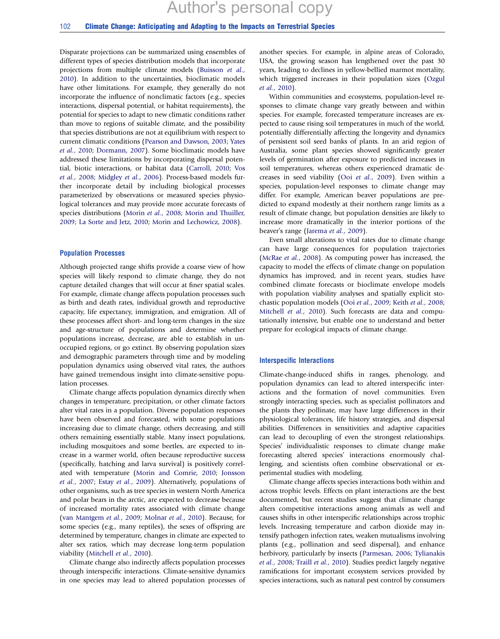#### 102 Climate Change: Anticipating and Adapting to the Impacts on Terrestrial Species

Disparate projections can be summarized using ensembles of different types of species distribution models that incorporate projections from multiple climate models ([Buisson](#page-13-0) et al., [2010](#page-13-0)). In addition to the uncertainties, bioclimatic models have other limitations. For example, they generally do not incorporate the influence of nonclimatic factors (e.g., species interactions, dispersal potential, or habitat requirements), the potential for species to adapt to new climatic conditions rather than move to regions of suitable climate, and the possibility that species distributions are not at equilibrium with respect to current climatic conditions [\(Pearson and Dawson, 2003;](#page-15-0) [Yates](#page-15-0) et al.[, 2010;](#page-15-0) [Dormann, 2007\)](#page-13-0). Some bioclimatic models have addressed these limitations by incorporating dispersal potential, biotic interactions, or habitat data ([Carroll, 2010;](#page-13-0) [Vos](#page-15-0) et al.[, 2008;](#page-15-0) [Midgley](#page-14-0) et al., 2006). Process-based models further incorporate detail by including biological processes parameterized by observations or measured species physiological tolerances and may provide more accurate forecasts of species distributions (Morin et al.[, 2008;](#page-14-0) [Morin and Thuiller,](#page-14-0) [2009;](#page-14-0) [La Sorte and Jetz, 2010](#page-14-0); [Morin and Lechowicz, 2008](#page-14-0)).

#### Population Processes

Although projected range shifts provide a coarse view of how species will likely respond to climate change, they do not capture detailed changes that will occur at finer spatial scales. For example, climate change affects population processes such as birth and death rates, individual growth and reproductive capacity, life expectancy, immigration, and emigration. All of these processes affect short- and long-term changes in the size and age-structure of populations and determine whether populations increase, decrease, are able to establish in unoccupied regions, or go extinct. By observing population sizes and demographic parameters through time and by modeling population dynamics using observed vital rates, the authors have gained tremendous insight into climate-sensitive population processes.

Climate change affects population dynamics directly when changes in temperature, precipitation, or other climate factors alter vital rates in a population. Diverse population responses have been observed and forecasted, with some populations increasing due to climate change, others decreasing, and still others remaining essentially stable. Many insect populations, including mosquitoes and some beetles, are expected to increase in a warmer world, often because reproductive success (specifically, hatching and larva survival) is positively correlated with temperature ([Morin and Comrie, 2010](#page-14-0); [Jonsson](#page-14-0) et al.[, 2007](#page-14-0); Estay et al.[, 2009\)](#page-13-0). Alternatively, populations of other organisms, such as tree species in western North America and polar bears in the arctic, are expected to decrease because of increased mortality rates associated with climate change ([van Mantgem](#page-15-0) et al., 2009; [Molnar](#page-14-0) et al., 2010). Because, for some species (e.g., many reptiles), the sexes of offspring are determined by temperature, changes in climate are expected to alter sex ratios, which may decrease long-term population viability ([Mitchell](#page-14-0) et al., 2010).

Climate change also indirectly affects population processes through interspecific interactions. Climate-sensitive dynamics in one species may lead to altered population processes of

another species. For example, in alpine areas of Colorado, USA, the growing season has lengthened over the past 30 years, leading to declines in yellow-bellied marmot mortality, which triggered increases in their population sizes ([Ozgul](#page-15-0) et al.[, 2010](#page-15-0)).

Within communities and ecosystems, population-level responses to climate change vary greatly between and within species. For example, forecasted temperature increases are expected to cause rising soil temperatures in much of the world, potentially differentially affecting the longevity and dynamics of persistent soil seed banks of plants. In an arid region of Australia, some plant species showed significantly greater levels of germination after exposure to predicted increases in soil temperatures, whereas others experienced dramatic decreases in seed viability (Ooi et al.[, 2009](#page-15-0)). Even within a species, population-level responses to climate change may differ. For example, American beaver populations are predicted to expand modestly at their northern range limits as a result of climate change, but population densities are likely to increase more dramatically in the interior portions of the beaver's range [\(Jarema](#page-14-0) et al., 2009).

Even small alterations to vital rates due to climate change can have large consequences for population trajectories [\(McRae](#page-14-0) et al., 2008). As computing power has increased, the capacity to model the effects of climate change on population dynamics has improved, and in recent years, studies have combined climate forecasts or bioclimate envelope models with population viability analyses and spatially explicit stochastic population models (Ooi et al.[, 2009;](#page-15-0) Keith et al.[, 2008;](#page-14-0) [Mitchell](#page-14-0) et al., 2010). Such forecasts are data and computationally intensive, but enable one to understand and better prepare for ecological impacts of climate change.

#### Interspecific Interactions

Climate-change-induced shifts in ranges, phenology, and population dynamics can lead to altered interspecific interactions and the formation of novel communities. Even strongly interacting species, such as specialist pollinators and the plants they pollinate, may have large differences in their physiological tolerances, life history strategies, and dispersal abilities. Differences in sensitivities and adaptive capacities can lead to decoupling of even the strongest relationships. Species' individualistic responses to climate change make forecasting altered species' interactions enormously challenging, and scientists often combine observational or experimental studies with modeling.

Climate change affects species interactions both within and across trophic levels. Effects on plant interactions are the best documented, but recent studies suggest that climate change alters competitive interactions among animals as well and causes shifts in other interspecific relationships across trophic levels. Increasing temperature and carbon dioxide may intensify pathogen infection rates, weaken mutualisms involving plants (e.g., pollination and seed dispersal), and enhance herbivory, particularly by insects ([Parmesan, 2006;](#page-15-0) [Tylianakis](#page-15-0) et al.[, 2008](#page-15-0); Traill et al.[, 2010](#page-15-0)). Studies predict largely negative ramifications for important ecosystem services provided by species interactions, such as natural pest control by consumers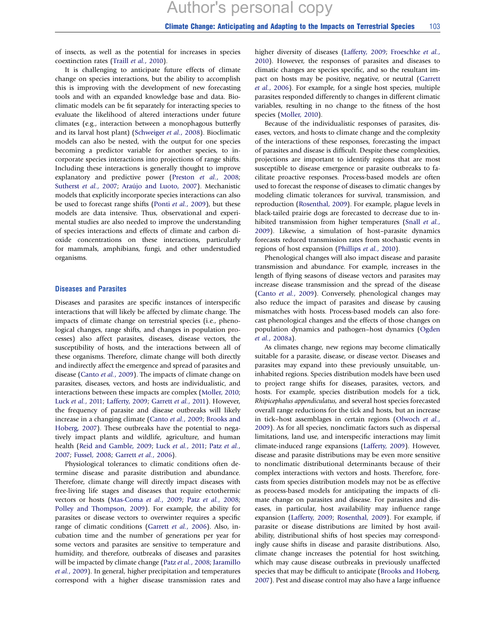of insects, as well as the potential for increases in species coextinction rates (Traill et al.[, 2010\)](#page-15-0).

It is challenging to anticipate future effects of climate change on species interactions, but the ability to accomplish this is improving with the development of new forecasting tools and with an expanded knowledge base and data. Bioclimatic models can be fit separately for interacting species to evaluate the likelihood of altered interactions under future climates (e.g., interaction between a monophagous butterfly and its larval host plant) [\(Schweiger](#page-15-0) et al., 2008). Bioclimatic models can also be nested, with the output for one species becoming a predictor variable for another species, to incorporate species interactions into projections of range shifts. Including these interactions is generally thought to improve explanatory and predictive power ([Preston](#page-15-0) et al., 2008; [Sutherst](#page-15-0) et al., 2007; Araújo [and Luoto, 2007](#page-12-0)). Mechanistic models that explicitly incorporate species interactions can also be used to forecast range shifts (Ponti et al.[, 2009](#page-15-0)), but these models are data intensive. Thus, observational and experimental studies are also needed to improve the understanding of species interactions and effects of climate and carbon dioxide concentrations on these interactions, particularly for mammals, amphibians, fungi, and other understudied organisms.

#### Diseases and Parasites

Diseases and parasites are specific instances of interspecific interactions that will likely be affected by climate change. The impacts of climate change on terrestrial species (i.e., phenological changes, range shifts, and changes in population processes) also affect parasites, diseases, disease vectors, the susceptibility of hosts, and the interactions between all of these organisms. Therefore, climate change will both directly and indirectly affect the emergence and spread of parasites and disease (Canto et al.[, 2009\)](#page-13-0). The impacts of climate change on parasites, diseases, vectors, and hosts are individualistic, and interactions between these impacts are complex ([Moller, 2010](#page-14-0); Luck et al.[, 2011;](#page-14-0) [Lafferty, 2009;](#page-14-0) [Garrett](#page-13-0) et al., 2011). However, the frequency of parasite and disease outbreaks will likely increase in a changing climate (Canto et al.[, 2009](#page-13-0); [Brooks and](#page-13-0) [Hoberg,](#page-13-0) 2007). These outbreaks have the potential to negatively impact plants and wildlife, agriculture, and human health [\(Reid and Gamble, 2009;](#page-15-0) Luck et al.[, 2011](#page-14-0); [Patz](#page-15-0) et al., [2007;](#page-15-0) [Fussel, 2008](#page-13-0); [Garrett](#page-13-0) et al., 2006).

Physiological tolerances to climatic conditions often determine disease and parasite distribution and abundance. Therefore, climate change will directly impact diseases with free-living life stages and diseases that require ectothermic vectors or hosts [\(Mas-Coma](#page-14-0) et al., 2009; Patz et al.[, 2008](#page-15-0); [Polley and Thompson, 2009\)](#page-15-0). For example, the ability for parasites or disease vectors to overwinter requires a specific range of climatic conditions [\(Garrett](#page-13-0) et al., 2006). Also, incubation time and the number of generations per year for some vectors and parasites are sensitive to temperature and humidity, and therefore, outbreaks of diseases and parasites will be impacted by climate change (Patz et al.[, 2008;](#page-15-0) [Jaramillo](#page-14-0) et al.[, 2009](#page-14-0)). In general, higher precipitation and temperatures correspond with a higher disease transmission rates and higher diversity of diseases [\(Lafferty, 2009;](#page-14-0) [Froeschke](#page-13-0) et al., [2010](#page-13-0)). However, the responses of parasites and diseases to climatic changes are species specific, and so the resultant impact on hosts may be positive, negative, or neutral ([Garrett](#page-13-0) et al.[, 2006\)](#page-13-0). For example, for a single host species, multiple parasites responded differently to changes in different climatic variables, resulting in no change to the fitness of the host species ([Moller, 2010\)](#page-14-0).

Because of the individualistic responses of parasites, diseases, vectors, and hosts to climate change and the complexity of the interactions of these responses, forecasting the impact of parasites and disease is difficult. Despite these complexities, projections are important to identify regions that are most susceptible to disease emergence or parasite outbreaks to facilitate proactive responses. Process-based models are often used to forecast the response of diseases to climatic changes by modeling climatic tolerances for survival, transmission, and reproduction ([Rosenthal, 2009](#page-15-0)). For example, plague levels in black-tailed prairie dogs are forecasted to decrease due to in-hibited transmission from higher temperatures ([Snall](#page-15-0) et al., [2009\)](#page-15-0). Likewise, a simulation of host–parasite dynamics forecasts reduced transmission rates from stochastic events in regions of host expansion [\(Phillips](#page-15-0) et al., 2010).

Phenological changes will also impact disease and parasite transmission and abundance. For example, increases in the length of flying seasons of disease vectors and parasites may increase disease transmission and the spread of the disease (Canto et al.[, 2009\)](#page-13-0). Conversely, phenological changes may also reduce the impact of parasites and disease by causing mismatches with hosts. Process-based models can also forecast phenological changes and the effects of those changes on population dynamics and pathogen–host dynamics [\(Ogden](#page-14-0) et al.[, 2008a](#page-14-0)).

As climates change, new regions may become climatically suitable for a parasite, disease, or disease vector. Diseases and parasites may expand into these previously unsuitable, uninhabited regions. Species distribution models have been used to project range shifts for diseases, parasites, vectors, and hosts. For example, species distribution models for a tick, Rhipicephalus appendiculatus, and several host species forecasted overall range reductions for the tick and hosts, but an increase in tick–host assemblages in certain regions ([Olwoch](#page-15-0) et al., [2009\)](#page-15-0). As for all species, nonclimatic factors such as dispersal limitations, land use, and interspecific interactions may limit climate-induced range expansions [\(Lafferty, 2009\)](#page-14-0). However, disease and parasite distributions may be even more sensitive to nonclimatic distributional determinants because of their complex interactions with vectors and hosts. Therefore, forecasts from species distribution models may not be as effective as process-based models for anticipating the impacts of climate change on parasites and disease. For parasites and diseases, in particular, host availability may influence range expansion [\(Lafferty, 2009](#page-14-0); [Rosenthal, 2009](#page-15-0)). For example, if parasite or disease distributions are limited by host availability, distributional shifts of host species may correspondingly cause shifts in disease and parasite distributions. Also, climate change increases the potential for host switching, which may cause disease outbreaks in previously unaffected species that may be difficult to anticipate ([Brooks and Hoberg,](#page-13-0) [2007](#page-13-0)). Pest and disease control may also have a large influence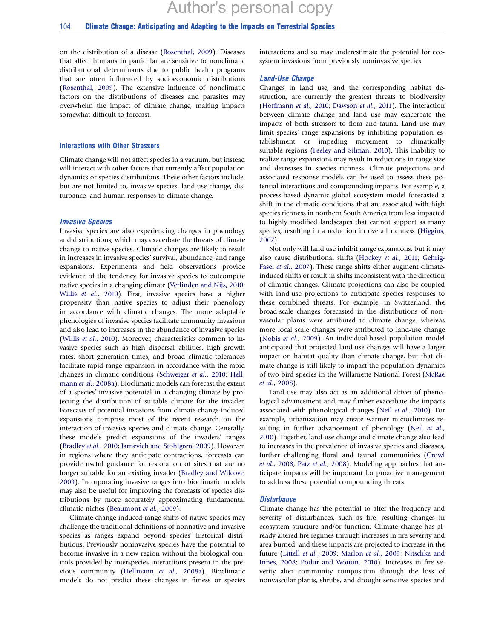on the distribution of a disease ([Rosenthal, 2009](#page-15-0)). Diseases that affect humans in particular are sensitive to nonclimatic distributional determinants due to public health programs that are often influenced by socioeconomic distributions ([Rosenthal, 2009](#page-15-0)). The extensive influence of nonclimatic factors on the distributions of diseases and parasites may overwhelm the impact of climate change, making impacts somewhat difficult to forecast.

#### Interactions with Other Stressors

Climate change will not affect species in a vacuum, but instead will interact with other factors that currently affect population dynamics or species distributions. These other factors include, but are not limited to, invasive species, land-use change, disturbance, and human responses to climate change.

# Invasive Species

Invasive species are also experiencing changes in phenology and distributions, which may exacerbate the threats of climate change to native species. Climatic changes are likely to result in increases in invasive species' survival, abundance, and range expansions. Experiments and field observations provide evidence of the tendency for invasive species to outcompete native species in a changing climate [\(Verlinden and Nijs, 2010;](#page-15-0) Willis et al.[, 2010\)](#page-15-0). First, invasive species have a higher propensity than native species to adjust their phenology in accordance with climatic changes. The more adaptable phenologies of invasive species facilitate community invasions and also lead to increases in the abundance of invasive species (Willis et al.[, 2010\)](#page-15-0). Moreover, characteristics common to invasive species such as high dispersal abilities, high growth rates, short generation times, and broad climatic tolerances facilitate rapid range expansion in accordance with the rapid changes in climatic conditions [\(Schweiger](#page-15-0) et al., 2010; [Hell](#page-13-0)mann et al.[, 2008a](#page-13-0)). Bioclimatic models can forecast the extent of a species' invasive potential in a changing climate by projecting the distribution of suitable climate for the invader. Forecasts of potential invasions from climate-change-induced expansions comprise most of the recent research on the interaction of invasive species and climate change. Generally, these models predict expansions of the invaders' ranges ([Bradley](#page-12-0) et al., 2010; [Jarnevich and Stohlgren, 2009](#page-14-0)). However, in regions where they anticipate contractions, forecasts can provide useful guidance for restoration of sites that are no longer suitable for an existing invader ([Bradley and Wilcove,](#page-12-0) [2009\)](#page-12-0). Incorporating invasive ranges into bioclimatic models may also be useful for improving the forecasts of species distributions by more accurately approximating fundamental climatic niches [\(Beaumont](#page-12-0) et al., 2009).

Climate-change-induced range shifts of native species may challenge the traditional definitions of nonnative and invasive species as ranges expand beyond species' historical distributions. Previously noninvasive species have the potential to become invasive in a new region without the biological controls provided by interspecies interactions present in the previous community [\(Hellmann](#page-13-0) et al., 2008a). Bioclimatic models do not predict these changes in fitness or species interactions and so may underestimate the potential for ecosystem invasions from previously noninvasive species.

#### Land-Use Change

Changes in land use, and the corresponding habitat destruction, are currently the greatest threats to biodiversity [\(Hoffmann](#page-13-0) et al., 2010; [Dawson](#page-13-0) et al., 2011). The interaction between climate change and land use may exacerbate the impacts of both stressors to flora and fauna. Land use may limit species' range expansions by inhibiting population establishment or impeding movement to climatically suitable regions [\(Feeley and Silman, 2010](#page-13-0)). This inability to realize range expansions may result in reductions in range size and decreases in species richness. Climate projections and associated response models can be used to assess these potential interactions and compounding impacts. For example, a process-based dynamic global ecosystem model forecasted a shift in the climatic conditions that are associated with high species richness in northern South America from less impacted to highly modified landscapes that cannot support as many species, resulting in a reduction in overall richness ([Higgins,](#page-13-0) [2007\)](#page-13-0).

Not only will land use inhibit range expansions, but it may also cause distributional shifts ([Hockey](#page-13-0) et al., 2011; [Gehrig-](#page-13-0)Fasel et al.[, 2007](#page-13-0)). These range shifts either augment climateinduced shifts or result in shifts inconsistent with the direction of climatic changes. Climate projections can also be coupled with land-use projections to anticipate species responses to these combined threats. For example, in Switzerland, the broad-scale changes forecasted in the distributions of nonvascular plants were attributed to climate change, whereas more local scale changes were attributed to land-use change (Nobis et al.[, 2009](#page-14-0)). An individual-based population model anticipated that projected land-use changes will have a larger impact on habitat quality than climate change, but that climate change is still likely to impact the population dynamics of two bird species in the Willamette National Forest ([McRae](#page-14-0) et al.[, 2008\)](#page-14-0).

Land use may also act as an additional driver of phenological advancement and may further exacerbate the impacts associated with phenological changes (Neil et al.[, 2010\)](#page-14-0). For example, urbanization may create warmer microclimates re-sulting in further advancement of phenology ([Neil](#page-14-0) et al., [2010\)](#page-14-0). Together, land-use change and climate change also lead to increases in the prevalence of invasive species and diseases, further challenging floral and faunal communities [\(Crowl](#page-13-0) et al.[, 2008](#page-13-0); Patz et al.[, 2008](#page-15-0)). Modeling approaches that anticipate impacts will be important for proactive management to address these potential compounding threats.

#### **Disturbance**

Climate change has the potential to alter the frequency and severity of disturbances, such as fire, resulting changes in ecosystem structure and/or function. Climate change has already altered fire regimes through increases in fire severity and area burned, and these impacts are projected to increase in the future (Littell et al.[, 2009;](#page-14-0) [Marlon](#page-14-0) et al., 2009; [Nitschke and](#page-14-0) [Innes,](#page-14-0) 2008; [Podur and Wotton, 2010](#page-15-0)). Increases in fire severity alter community composition through the loss of nonvascular plants, shrubs, and drought-sensitive species and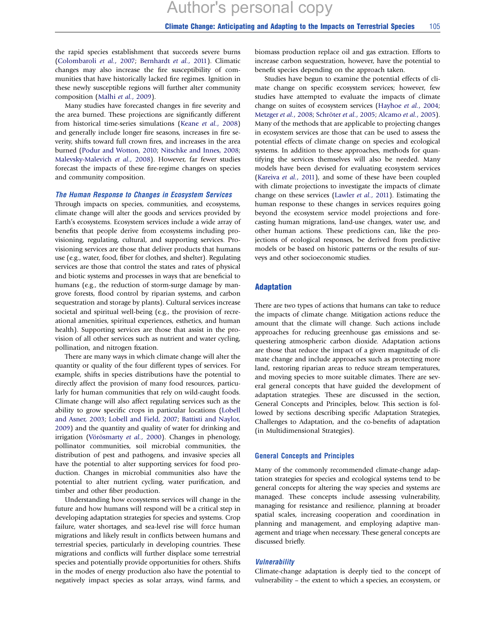the rapid species establishment that succeeds severe burns ([Colombaroli](#page-13-0) et al., 2007; [Bernhardt](#page-12-0) et al., 2011). Climatic changes may also increase the fire susceptibility of communities that have historically lacked fire regimes. Ignition in these newly susceptible regions will further alter community composition (Malhi et al.[, 2009](#page-14-0)).

Many studies have forecasted changes in fire severity and the area burned. These projections are significantly different from historical time-series simulations (Keane et al.[, 2008](#page-14-0)) and generally include longer fire seasons, increases in fire severity, shifts toward full crown fires, and increases in the area burned [\(Podur and Wotton, 2010;](#page-15-0) [Nitschke and Innes, 2008](#page-14-0); [Malevsky-Malevich](#page-14-0) et al., 2008). However, far fewer studies forecast the impacts of these fire-regime changes on species and community composition.

#### The Human Response to Changes in Ecosystem Services

Through impacts on species, communities, and ecosystems, climate change will alter the goods and services provided by Earth's ecosystems. Ecosystem services include a wide array of benefits that people derive from ecosystems including provisioning, regulating, cultural, and supporting services. Provisioning services are those that deliver products that humans use (e.g., water, food, fiber for clothes, and shelter). Regulating services are those that control the states and rates of physical and biotic systems and processes in ways that are beneficial to humans (e.g., the reduction of storm-surge damage by mangrove forests, flood control by riparian systems, and carbon sequestration and storage by plants). Cultural services increase societal and spiritual well-being (e.g., the provision of recreational amenities, spiritual experiences, esthetics, and human health). Supporting services are those that assist in the provision of all other services such as nutrient and water cycling, pollination, and nitrogen fixation.

There are many ways in which climate change will alter the quantity or quality of the four different types of services. For example, shifts in species distributions have the potential to directly affect the provision of many food resources, particularly for human communities that rely on wild-caught foods. Climate change will also affect regulating services such as the ability to grow specific crops in particular locations ([Lobell](#page-14-0) and [Asner, 2003](#page-14-0); [Lobell and Field, 2007](#page-14-0); [Battisti and Naylor,](#page-12-0) [2009](#page-12-0)) and the quantity and quality of water for drinking and irrigation (Vörösmarty et al., 2000). Changes in phenology, pollinator communities, soil microbial communities, the distribution of pest and pathogens, and invasive species all have the potential to alter supporting services for food production. Changes in microbial communities also have the potential to alter nutrient cycling, water purification, and timber and other fiber production.

Understanding how ecosystems services will change in the future and how humans will respond will be a critical step in developing adaptation strategies for species and systems. Crop failure, water shortages, and sea-level rise will force human migrations and likely result in conflicts between humans and terrestrial species, particularly in developing countries. These migrations and conflicts will further displace some terrestrial species and potentially provide opportunities for others. Shifts in the modes of energy production also have the potential to negatively impact species as solar arrays, wind farms, and biomass production replace oil and gas extraction. Efforts to increase carbon sequestration, however, have the potential to benefit species depending on the approach taken.

Studies have begun to examine the potential effects of climate change on specific ecosystem services; however, few studies have attempted to evaluate the impacts of climate change on suites of ecosystem services [\(Hayhoe](#page-13-0) et al., 2004; [Metzger](#page-14-0) et al., 2008; Schröter et al., 2005; [Alcamo](#page-12-0) et al., 2005). Many of the methods that are applicable to projecting changes in ecosystem services are those that can be used to assess the potential effects of climate change on species and ecological systems. In addition to these approaches, methods for quantifying the services themselves will also be needed. Many models have been devised for evaluating ecosystem services ([Kareiva](#page-14-0) et al., 2011), and some of these have been coupled with climate projections to investigate the impacts of climate change on these services ([Lawler](#page-14-0) et al., 2011). Estimating the human response to these changes in services requires going beyond the ecosystem service model projections and forecasting human migrations, land-use changes, water use, and other human actions. These predictions can, like the projections of ecological responses, be derived from predictive models or be based on historic patterns or the results of surveys and other socioeconomic studies.

# Adaptation

There are two types of actions that humans can take to reduce the impacts of climate change. Mitigation actions reduce the amount that the climate will change. Such actions include approaches for reducing greenhouse gas emissions and sequestering atmospheric carbon dioxide. Adaptation actions are those that reduce the impact of a given magnitude of climate change and include approaches such as protecting more land, restoring riparian areas to reduce stream temperatures, and moving species to more suitable climates. There are several general concepts that have guided the development of adaptation strategies. These are discussed in the section, General Concepts and Principles, below. This section is followed by sections describing specific Adaptation Strategies, Challenges to Adaptation, and the co-benefits of adaptation (in Multidimensional Strategies).

#### General Concepts and Principles

Many of the commonly recommended climate-change adaptation strategies for species and ecological systems tend to be general concepts for altering the way species and systems are managed. These concepts include assessing vulnerability, managing for resistance and resilience, planning at broader spatial scales, increasing cooperation and coordination in planning and management, and employing adaptive management and triage when necessary. These general concepts are discussed briefly.

#### *Vulnerability*

Climate-change adaptation is deeply tied to the concept of vulnerability – the extent to which a species, an ecosystem, or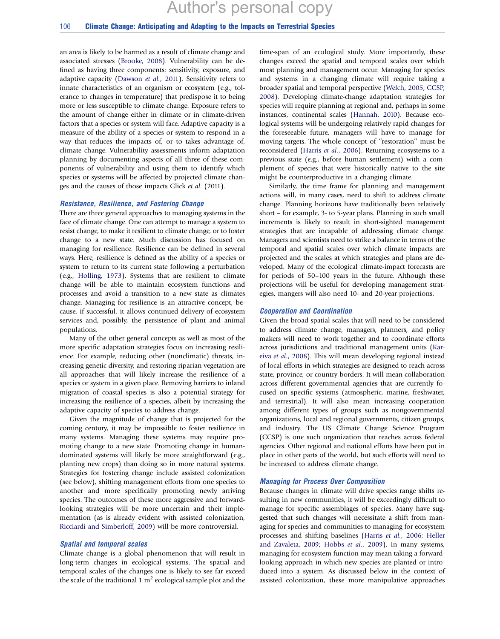an area is likely to be harmed as a result of climate change and associated stresses [\(Brooke, 2008\)](#page-12-0). Vulnerability can be defined as having three components: sensitivity, exposure, and adaptive capacity [\(Dawson](#page-13-0) et al., 2011). Sensitivity refers to innate characteristics of an organism or ecosystem (e.g., tolerance to changes in temperature) that predispose it to being more or less susceptible to climate change. Exposure refers to the amount of change either in climate or in climate-driven factors that a species or system will face. Adaptive capacity is a measure of the ability of a species or system to respond in a way that reduces the impacts of, or to takes advantage of, climate change. Vulnerability assessments inform adaptation planning by documenting aspects of all three of these components of vulnerability and using them to identify which species or systems will be affected by projected climate changes and the causes of those impacts Glick et al. (2011).

## Resistance, Resilience, and Fostering Change

There are three general approaches to managing systems in the face of climate change. One can attempt to manage a system to resist change, to make it resilient to climate change, or to foster change to a new state. Much discussion has focused on managing for resilience. Resilience can be defined in several ways. Here, resilience is defined as the ability of a species or system to return to its current state following a perturbation (e.g., [Holling, 1973](#page-13-0)). Systems that are resilient to climate change will be able to maintain ecosystem functions and processes and avoid a transition to a new state as climates change. Managing for resilience is an attractive concept, because, if successful, it allows continued delivery of ecosystem services and, possibly, the persistence of plant and animal populations.

Many of the other general concepts as well as most of the more specific adaptation strategies focus on increasing resilience. For example, reducing other (nonclimatic) threats, increasing genetic diversity, and restoring riparian vegetation are all approaches that will likely increase the resilience of a species or system in a given place. Removing barriers to inland migration of coastal species is also a potential strategy for increasing the resilience of a species, albeit by increasing the adaptive capacity of species to address change.

Given the magnitude of change that is projected for the coming century, it may be impossible to foster resilience in many systems. Managing these systems may require promoting change to a new state. Promoting change in humandominated systems will likely be more straightforward (e.g., planting new crops) than doing so in more natural systems. Strategies for fostering change include assisted colonization (see below), shifting management efforts from one species to another and more specifically promoting newly arriving species. The outcomes of these more aggressive and forwardlooking strategies will be more uncertain and their implementation (as is already evident with assisted colonization, [Ricciardi and Simberloff, 2009\)](#page-15-0) will be more controversial.

## Spatial and temporal scales

Climate change is a global phenomenon that will result in long-term changes in ecological systems. The spatial and temporal scales of the changes one is likely to see far exceed the scale of the traditional 1  $m<sup>2</sup>$  ecological sample plot and the

time-span of an ecological study. More importantly, these changes exceed the spatial and temporal scales over which most planning and management occur. Managing for species and systems in a changing climate will require taking a broader spatial and temporal perspective ([Welch, 2005](#page-15-0); [CCSP,](#page-13-0) [2008](#page-13-0)). Developing climate-change adaptation strategies for species will require planning at regional and, perhaps in some instances, continental scales ([Hannah, 2010](#page-13-0)). Because ecological systems will be undergoing relatively rapid changes for the foreseeable future, managers will have to manage for moving targets. The whole concept of ''restoration'' must be reconsidered (Harris et al.[, 2006\)](#page-13-0). Returning ecosystems to a previous state (e.g., before human settlement) with a complement of species that were historically native to the site might be counterproductive in a changing climate.

Similarly, the time frame for planning and management actions will, in many cases, need to shift to address climate change. Planning horizons have traditionally been relatively short – for example, 3- to 5-year plans. Planning in such small increments is likely to result in short-sighted management strategies that are incapable of addressing climate change. Managers and scientists need to strike a balance in terms of the temporal and spatial scales over which climate impacts are projected and the scales at which strategies and plans are developed. Many of the ecological climate-impact forecasts are for periods of 50–100 years in the future. Although these projections will be useful for developing management strategies, mangers will also need 10- and 20-year projections.

## Cooperation and Coordination

Given the broad spatial scales that will need to be considered to address climate change, managers, planners, and policy makers will need to work together and to coordinate efforts across jurisdictions and traditional management units ([Kar](#page-14-0)eiva et al.[, 2008](#page-14-0)). This will mean developing regional instead of local efforts in which strategies are designed to reach across state, province, or country borders. It will mean collaboration across different governmental agencies that are currently focused on specific systems (atmospheric, marine, freshwater, and terrestrial). It will also mean increasing cooperation among different types of groups such as nongovernmental organizations, local and regional governments, citizen groups, and industry. The US Climate Change Science Program (CCSP) is one such organization that reaches across federal agencies. Other regional and national efforts have been put in place in other parts of the world, but such efforts will need to be increased to address climate change.

## Managing for Process Over Composition

Because changes in climate will drive species range shifts resulting in new communities, it will be exceedingly difficult to manage for specific assemblages of species. Many have suggested that such changes will necessitate a shift from managing for species and communities to managing for ecosystem processes and shifting baselines (Harris et al.[, 2006](#page-13-0); [Heller](#page-13-0) and [Zavaleta, 2009;](#page-13-0) Hobbs et al.[, 2009\)](#page-13-0). In many systems, managing for ecosystem function may mean taking a forwardlooking approach in which new species are planted or introduced into a system. As discussed below in the context of assisted colonization, these more manipulative approaches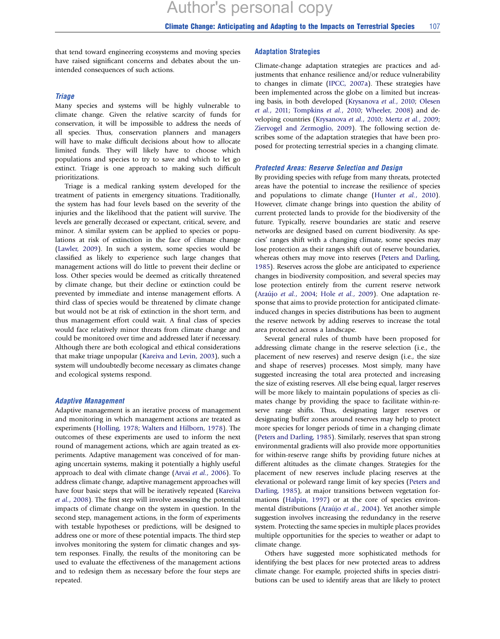that tend toward engineering ecosystems and moving species have raised significant concerns and debates about the unintended consequences of such actions.

# **Triage**

Many species and systems will be highly vulnerable to climate change. Given the relative scarcity of funds for conservation, it will be impossible to address the needs of all species. Thus, conservation planners and managers will have to make difficult decisions about how to allocate limited funds. They will likely have to choose which populations and species to try to save and which to let go extinct. Triage is one approach to making such difficult prioritizations.

Triage is a medical ranking system developed for the treatment of patients in emergency situations. Traditionally, the system has had four levels based on the severity of the injuries and the likelihood that the patient will survive. The levels are generally deceased or expectant, critical, severe, and minor. A similar system can be applied to species or populations at risk of extinction in the face of climate change ([Lawler, 2009\)](#page-14-0). In such a system, some species would be classified as likely to experience such large changes that management actions will do little to prevent their decline or loss. Other species would be deemed as critically threatened by climate change, but their decline or extinction could be prevented by immediate and intense management efforts. A third class of species would be threatened by climate change but would not be at risk of extinction in the short term, and thus management effort could wait. A final class of species would face relatively minor threats from climate change and could be monitored over time and addressed later if necessary. Although there are both ecological and ethical considerations that make triage unpopular [\(Kareiva and Levin, 2003\)](#page-14-0), such a system will undoubtedly become necessary as climates change and ecological systems respond.

### Adaptive Management

Adaptive management is an iterative process of management and monitoring in which management actions are treated as experiments ([Holling, 1978](#page-13-0); [Walters and Hilborn, 1978\)](#page-15-0). The outcomes of these experiments are used to inform the next round of management actions, which are again treated as experiments. Adaptive management was conceived of for managing uncertain systems, making it potentially a highly useful approach to deal with climate change (Arvai et al.[, 2006\)](#page-12-0). To address climate change, adaptive management approaches will have four basic steps that will be iteratively repeated ([Kareiva](#page-14-0) et al.[, 2008](#page-14-0)). The first step will involve assessing the potential impacts of climate change on the system in question. In the second step, management actions, in the form of experiments with testable hypotheses or predictions, will be designed to address one or more of these potential impacts. The third step involves monitoring the system for climatic changes and system responses. Finally, the results of the monitoring can be used to evaluate the effectiveness of the management actions and to redesign them as necessary before the four steps are repeated.

#### Adaptation Strategies

Climate-change adaptation strategies are practices and adjustments that enhance resilience and/or reduce vulnerability to changes in climate ([IPCC, 2007a](#page-13-0)). These strategies have been implemented across the globe on a limited but increasing basis, in both developed ([Krysanova](#page-14-0) et al., 2010; [Olesen](#page-15-0) et al.[, 2011](#page-15-0); [Tompkins](#page-15-0) et al., 2010; [Wheeler, 2008](#page-15-0)) and developing countries ([Krysanova](#page-14-0) et al., 2010; Mertz et al.[, 2009;](#page-14-0) [Ziervogel and Zermoglio, 2009](#page-15-0)). The following section describes some of the adaptation strategies that have been proposed for protecting terrestrial species in a changing climate.

#### Protected Areas: Reserve Selection and Design

By providing species with refuge from many threats, protected areas have the potential to increase the resilience of species and populations to climate change [\(Hunter](#page-13-0) et al., 2010). However, climate change brings into question the ability of current protected lands to provide for the biodiversity of the future. Typically, reserve boundaries are static and reserve networks are designed based on current biodiversity. As species' ranges shift with a changing climate, some species may lose protection as their ranges shift out of reserve boundaries, whereas others may move into reserves ([Peters and Darling,](#page-15-0) [1985\)](#page-15-0). Reserves across the globe are anticipated to experience changes in biodiversity composition, and several species may lose protection entirely from the current reserve network (Araújo et al.[, 2004;](#page-12-0) Hole et al.[, 2009](#page-13-0)). One adaptation response that aims to provide protection for anticipated climateinduced changes in species distributions has been to augment the reserve network by adding reserves to increase the total area protected across a landscape.

Several general rules of thumb have been proposed for addressing climate change in the reserve selection (i.e., the placement of new reserves) and reserve design (i.e., the size and shape of reserves) processes. Most simply, many have suggested increasing the total area protected and increasing the size of existing reserves. All else being equal, larger reserves will be more likely to maintain populations of species as climates change by providing the space to facilitate within-reserve range shifts. Thus, designating larger reserves or designating buffer zones around reserves may help to protect more species for longer periods of time in a changing climate ([Peters and Darling, 1985\)](#page-15-0). Similarly, reserves that span strong environmental gradients will also provide more opportunities for within-reserve range shifts by providing future niches at different altitudes as the climate changes. Strategies for the placement of new reserves include placing reserves at the elevational or poleward range limit of key species [\(Peters and](#page-15-0) [Darling,](#page-15-0) 1985), at major transitions between vegetation formations ([Halpin, 1997](#page-13-0)) or at the core of species environmental distributions (Araújo et al., 2004). Yet another simple suggestion involves increasing the redundancy in the reserve system. Protecting the same species in multiple places provides multiple opportunities for the species to weather or adapt to climate change.

Others have suggested more sophisticated methods for identifying the best places for new protected areas to address climate change. For example, projected shifts in species distributions can be used to identify areas that are likely to protect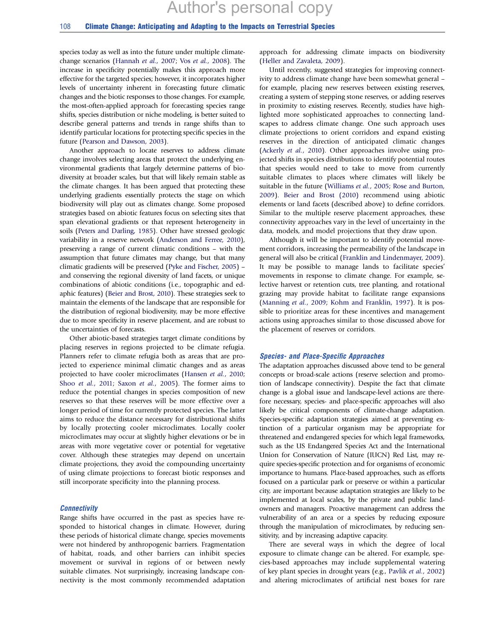## 108 Climate Change: Anticipating and Adapting to the Impacts on Terrestrial Species

species today as well as into the future under multiple climatechange scenarios [\(Hannah](#page-13-0) et al., 2007; Vos et al.[, 2008\)](#page-15-0). The increase in specificity potentially makes this approach more effective for the targeted species; however, it incorporates higher levels of uncertainty inherent in forecasting future climatic changes and the biotic responses to those changes. For example, the most-often-applied approach for forecasting species range shifts, species distribution or niche modeling, is better suited to describe general patterns and trends in range shifts than to identify particular locations for protecting specific species in the future ([Pearson and Dawson, 2003\)](#page-15-0).

Another approach to locate reserves to address climate change involves selecting areas that protect the underlying environmental gradients that largely determine patterns of biodiversity at broader scales, but that will likely remain stable as the climate changes. It has been argued that protecting these underlying gradients essentially protects the stage on which biodiversity will play out as climates change. Some proposed strategies based on abiotic features focus on selecting sites that span elevational gradients or that represent heterogeneity in soils ([Peters and Darling, 1985](#page-15-0)). Other have stressed geologic variability in a reserve network [\(Anderson and Ferree, 2010\)](#page-12-0), preserving a range of current climatic conditions – with the assumption that future climates may change, but that many climatic gradients will be preserved [\(Pyke and Fischer, 2005](#page-15-0)) – and conserving the regional diversity of land facets, or unique combinations of abiotic conditions (i.e., topographic and edaphic features) [\(Beier and Brost, 2010](#page-12-0)). These strategies seek to maintain the elements of the landscape that are responsible for the distribution of regional biodiversity, may be more effective due to more specificity in reserve placement, and are robust to the uncertainties of forecasts.

Other abiotic-based strategies target climate conditions by placing reserves in regions projected to be climate refugia. Planners refer to climate refugia both as areas that are projected to experience minimal climatic changes and as areas projected to have cooler microclimates ([Hansen](#page-13-0) et al., 2010; Shoo et al.[, 2011](#page-15-0); Saxon et al.[, 2005\)](#page-15-0). The former aims to reduce the potential changes in species composition of new reserves so that these reserves will be more effective over a longer period of time for currently protected species. The latter aims to reduce the distance necessary for distributional shifts by locally protecting cooler microclimates. Locally cooler microclimates may occur at slightly higher elevations or be in areas with more vegetative cover or potential for vegetative cover. Although these strategies may depend on uncertain climate projections, they avoid the compounding uncertainty of using climate projections to forecast biotic responses and still incorporate specificity into the planning process.

#### **Connectivity**

Range shifts have occurred in the past as species have responded to historical changes in climate. However, during these periods of historical climate change, species movements were not hindered by anthropogenic barriers. Fragmentation of habitat, roads, and other barriers can inhibit species movement or survival in regions of or between newly suitable climates. Not surprisingly, increasing landscape connectivity is the most commonly recommended adaptation

approach for addressing climate impacts on biodiversity [\(Heller and Zavaleta, 2009\)](#page-13-0).

Until recently, suggested strategies for improving connectivity to address climate change have been somewhat general – for example, placing new reserves between existing reserves, creating a system of stepping stone reserves, or adding reserves in proximity to existing reserves. Recently, studies have highlighted more sophisticated approaches to connecting landscapes to address climate change. One such approach uses climate projections to orient corridors and expand existing reserves in the direction of anticipated climatic changes [\(Ackerly](#page-12-0) et al., 2010). Other approaches involve using projected shifts in species distributions to identify potential routes that species would need to take to move from currently suitable climates to places where climates will likely be suitable in the future ([Williams](#page-15-0) et al., 2005; [Rose and Burton,](#page-15-0) [2009](#page-15-0)). [Beier and Brost \(2010\)](#page-12-0) recommend using abiotic elements or land facets (described above) to define corridors. Similar to the multiple reserve placement approaches, these connectivity approaches vary in the level of uncertainty in the data, models, and model projections that they draw upon.

Although it will be important to identify potential movement corridors, increasing the permeability of the landscape in general will also be critical ([Franklin and Lindenmayer, 2009](#page-13-0)). It may be possible to manage lands to facilitate species' movements in response to climate change. For example, selective harvest or retention cuts, tree planting, and rotational grazing may provide habitat to facilitate range expansions [\(Manning](#page-14-0) et al., 2009; [Kohm and Franklin, 1997\)](#page-14-0). It is possible to prioritize areas for these incentives and management actions using approaches similar to those discussed above for the placement of reserves or corridors.

## Species- and Place-Specific Approaches

The adaptation approaches discussed above tend to be general concepts or broad-scale actions (reserve selection and promotion of landscape connectivity). Despite the fact that climate change is a global issue and landscape-level actions are therefore necessary, species- and place-specific approaches will also likely be critical components of climate-change adaptation. Species-specific adaptation strategies aimed at preventing extinction of a particular organism may be appropriate for threatened and endangered species for which legal frameworks, such as the US Endangered Species Act and the International Union for Conservation of Nature (IUCN) Red List, may require species-specific protection and for organisms of economic importance to humans. Place-based approaches, such as efforts focused on a particular park or preserve or within a particular city, are important because adaptation strategies are likely to be implemented at local scales, by the private and public landowners and managers. Proactive management can address the vulnerability of an area or a species by reducing exposure through the manipulation of microclimates, by reducing sensitivity, and by increasing adaptive capacity.

There are several ways in which the degree of local exposure to climate change can be altered. For example, species-based approaches may include supplemental watering of key plant species in drought years (e.g., Pavlik et al.[, 2002](#page-14-0)) and altering microclimates of artificial nest boxes for rare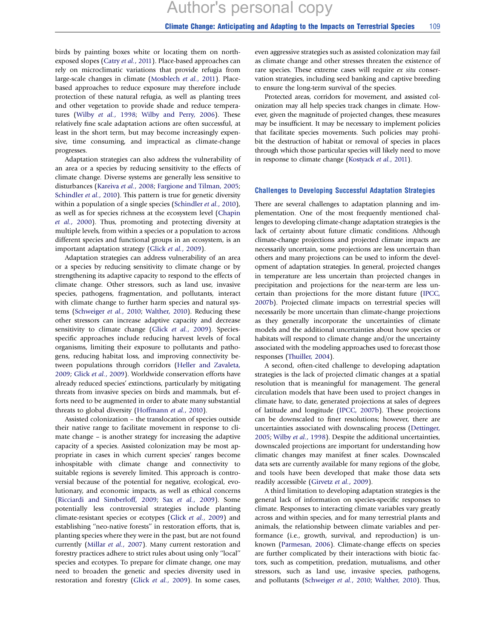birds by painting boxes white or locating them on northexposed slopes (Catry et al.[, 2011](#page-13-0)). Place-based approaches can rely on microclimatic variations that provide refugia from large-scale changes in climate ([Mosblech](#page-14-0) et al., 2011). Placebased approaches to reduce exposure may therefore include protection of these natural refugia, as well as planting trees and other vegetation to provide shade and reduce temperatures (Wilby et al.[, 1998](#page-15-0); [Wilby and Perry, 2006](#page-15-0)). These relatively fine scale adaptation actions are often successful, at least in the short term, but may become increasingly expensive, time consuming, and impractical as climate-change progresses.

Adaptation strategies can also address the vulnerability of an area or a species by reducing sensitivity to the effects of climate change. Diverse systems are generally less sensitive to disturbances [\(Kareiva](#page-14-0) et al., 2008; [Fargione and Tilman, 2005](#page-13-0); [Schindler](#page-15-0) et al., 2010). This pattern is true for genetic diversity within a population of a single species ([Schindler](#page-15-0) et al., 2010), as well as for species richness at the ecosystem level [\(Chapin](#page-13-0) et al.[, 2000\)](#page-13-0). Thus, promoting and protecting diversity at multiple levels, from within a species or a population to across different species and functional groups in an ecosystem, is an important adaptation strategy (Glick et al.[, 2009\)](#page-13-0).

Adaptation strategies can address vulnerability of an area or a species by reducing sensitivity to climate change or by strengthening its adaptive capacity to respond to the effects of climate change. Other stressors, such as land use, invasive species, pathogens, fragmentation, and pollutants, interact with climate change to further harm species and natural systems ([Schweiger](#page-15-0) et al., 2010; [Walther, 2010](#page-15-0)). Reducing these other stressors can increase adaptive capacity and decrease sensitivity to climate change (Glick et al.[, 2009](#page-13-0)). Speciesspecific approaches include reducing harvest levels of focal organisms, limiting their exposure to pollutants and pathogens, reducing habitat loss, and improving connectivity between populations through corridors ([Heller and Zavaleta,](#page-13-0) [2009](#page-13-0); Glick et al.[, 2009\)](#page-13-0). Worldwide conservation efforts have already reduced species' extinctions, particularly by mitigating threats from invasive species on birds and mammals, but efforts need to be augmented in order to abate many substantial threats to global diversity ([Hoffmann](#page-13-0) et al., 2010).

Assisted colonization – the translocation of species outside their native range to facilitate movement in response to climate change – is another strategy for increasing the adaptive capacity of a species. Assisted colonization may be most appropriate in cases in which current species' ranges become inhospitable with climate change and connectivity to suitable regions is severely limited. This approach is controversial because of the potential for negative, ecological, evolutionary, and economic impacts, as well as ethical concerns ([Ricciardi and Simberloff, 2009;](#page-15-0) Sax et al.[, 2009](#page-15-0)). Some potentially less controversial strategies include planting climate-resistant species or ecotypes (Glick et al.[, 2009\)](#page-13-0) and establishing ''neo-native forests'' in restoration efforts, that is, planting species where they were in the past, but are not found currently (Millar et al.[, 2007\)](#page-14-0). Many current restoration and forestry practices adhere to strict rules about using only ''local'' species and ecotypes. To prepare for climate change, one may need to broaden the genetic and species diversity used in restoration and forestry (Glick et al.[, 2009\)](#page-13-0). In some cases,

even aggressive strategies such as assisted colonization may fail as climate change and other stresses threaten the existence of rare species. These extreme cases will require ex situ conservation strategies, including seed banking and captive breeding to ensure the long-term survival of the species.

Protected areas, corridors for movement, and assisted colonization may all help species track changes in climate. However, given the magnitude of projected changes, these measures may be insufficient. It may be necessary to implement policies that facilitate species movements. Such policies may prohibit the destruction of habitat or removal of species in places through which those particular species will likely need to move in response to climate change ([Kostyack](#page-14-0) et al., 2011).

# Challenges to Developing Successful Adaptation Strategies

There are several challenges to adaptation planning and implementation. One of the most frequently mentioned challenges to developing climate-change adaptation strategies is the lack of certainty about future climatic conditions. Although climate-change projections and projected climate impacts are necessarily uncertain, some projections are less uncertain than others and many projections can be used to inform the development of adaptation strategies. In general, projected changes in temperature are less uncertain than projected changes in precipitation and projections for the near-term are less uncertain than projections for the more distant future ([IPCC,](#page-13-0) [2007b\)](#page-13-0). Projected climate impacts on terrestrial species will necessarily be more uncertain than climate-change projections as they generally incorporate the uncertainties of climate models and the additional uncertainties about how species or habitats will respond to climate change and/or the uncertainty associated with the modeling approaches used to forecast those responses ([Thuiller, 2004\)](#page-15-0).

A second, often-cited challenge to developing adaptation strategies is the lack of projected climatic changes at a spatial resolution that is meaningful for management. The general circulation models that have been used to project changes in climate have, to date, generated projections at sales of degrees of latitude and longitude ([IPCC, 2007b](#page-13-0)). These projections can be downscaled to finer resolutions; however, there are uncertainties associated with downscaling process [\(Dettinger,](#page-13-0) [2005;](#page-13-0) Wilby et al.[, 1998\)](#page-15-0). Despite the additional uncertainties, downscaled projections are important for understanding how climatic changes may manifest at finer scales. Downscaled data sets are currently available for many regions of the globe, and tools have been developed that make those data sets readily accessible [\(Girvetz](#page-13-0) et al., 2009).

A third limitation to developing adaptation strategies is the general lack of information on species-specific responses to climate. Responses to interacting climate variables vary greatly across and within species, and for many terrestrial plants and animals, the relationship between climate variables and performance (i.e., growth, survival, and reproduction) is unknown ([Parmesan, 2006\)](#page-15-0). Climate-change effects on species are further complicated by their interactions with biotic factors, such as competition, predation, mutualisms, and other stressors, such as land use, invasive species, pathogens, and pollutants [\(Schweiger](#page-15-0) et al., 2010; [Walther, 2010](#page-15-0)). Thus,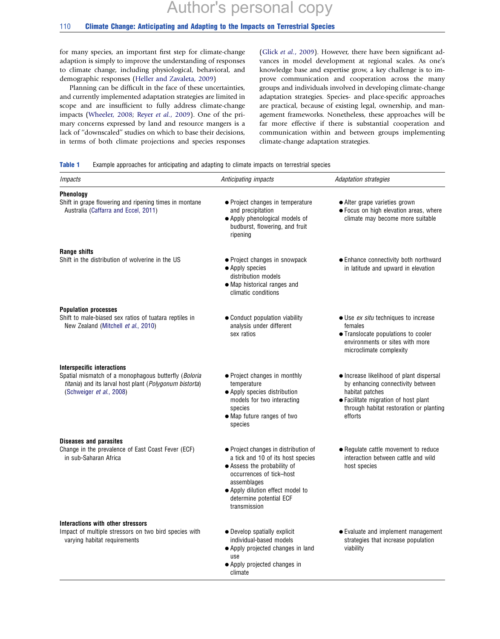#### <span id="page-11-0"></span>110 Climate Change: Anticipating and Adapting to the Impacts on Terrestrial Species

for many species, an important first step for climate-change adaption is simply to improve the understanding of responses to climate change, including physiological, behavioral, and demographic responses ([Heller and Zavaleta, 2009](#page-13-0))

Planning can be difficult in the face of these uncertainties, and currently implemented adaptation strategies are limited in scope and are insufficient to fully address climate-change impacts [\(Wheeler, 2008](#page-15-0); Reyer et al.[, 2009](#page-15-0)). One of the primary concerns expressed by land and resource mangers is a lack of ''downscaled'' studies on which to base their decisions, in terms of both climate projections and species responses (Glick et al.[, 2009\)](#page-13-0). However, there have been significant advances in model development at regional scales. As one's knowledge base and expertise grow, a key challenge is to improve communication and cooperation across the many groups and individuals involved in developing climate-change adaptation strategies. Species- and place-specific approaches are practical, because of existing legal, ownership, and management frameworks. Nonetheless, these approaches will be far more effective if there is substantial cooperation and communication within and between groups implementing climate-change adaptation strategies.

| Example approaches for anticipating and adapting to climate impacts on terrestrial species | Table 1 |  |  |  |  |  |
|--------------------------------------------------------------------------------------------|---------|--|--|--|--|--|
|--------------------------------------------------------------------------------------------|---------|--|--|--|--|--|

| Impacts                                                                                                                                                                          | Anticipating impacts                                                                                                                                                                                                               | <b>Adaptation strategies</b>                                                                                                                                                                   |
|----------------------------------------------------------------------------------------------------------------------------------------------------------------------------------|------------------------------------------------------------------------------------------------------------------------------------------------------------------------------------------------------------------------------------|------------------------------------------------------------------------------------------------------------------------------------------------------------------------------------------------|
| <b>Phenology</b><br>Shift in grape flowering and ripening times in montane<br>Australia (Caffarra and Eccel, 2011)                                                               | • Project changes in temperature<br>and precipitation<br>• Apply phenological models of<br>budburst, flowering, and fruit<br>ripening                                                                                              | • Alter grape varieties grown<br>· Focus on high elevation areas, where<br>climate may become more suitable                                                                                    |
| Range shifts<br>Shift in the distribution of wolverine in the US                                                                                                                 | • Project changes in snowpack<br>• Apply species<br>distribution models<br>• Map historical ranges and<br>climatic conditions                                                                                                      | • Enhance connectivity both northward<br>in latitude and upward in elevation                                                                                                                   |
| <b>Population processes</b><br>Shift to male-biased sex ratios of tuatara reptiles in<br>New Zealand (Mitchell et al., 2010)                                                     | • Conduct population viability<br>analysis under different<br>sex ratios                                                                                                                                                           | • Use ex situ techniques to increase<br>females<br>• Translocate populations to cooler<br>environments or sites with more<br>microclimate complexity                                           |
| <b>Interspecific interactions</b><br>Spatial mismatch of a monophagous butterfly (Boloria<br>titania) and its larval host plant (Polygonum bistorta)<br>(Schweiger et al., 2008) | • Project changes in monthly<br>temperature<br>• Apply species distribution<br>models for two interacting<br>species<br>• Map future ranges of two<br>species                                                                      | • Increase likelihood of plant dispersal<br>by enhancing connectivity between<br>habitat patches<br>• Facilitate migration of host plant<br>through habitat restoration or planting<br>efforts |
| <b>Diseases and parasites</b><br>Change in the prevalence of East Coast Fever (ECF)<br>in sub-Saharan Africa                                                                     | • Project changes in distribution of<br>a tick and 10 of its host species<br>• Assess the probability of<br>occurrences of tick-host<br>assemblages<br>• Apply dilution effect model to<br>determine potential ECF<br>transmission | • Requiate cattle movement to reduce<br>interaction between cattle and wild<br>host species                                                                                                    |
| Interactions with other stressors<br>Impact of multiple stressors on two bird species with<br>varying habitat requirements                                                       | • Develop spatially explicit<br>individual-based models<br>• Apply projected changes in land<br>use<br>• Apply projected changes in<br>climate                                                                                     | • Evaluate and implement management<br>strategies that increase population<br>viability                                                                                                        |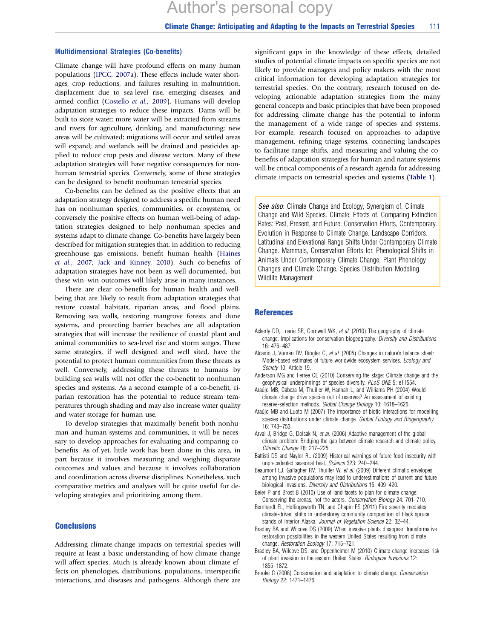#### <span id="page-12-0"></span>Multidimensional Strategies (Co-benefits)

Climate change will have profound effects on many human populations [\(IPCC, 2007a\)](#page-13-0). These effects include water shortages, crop reductions, and failures resulting in malnutrition, displacement due to sea-level rise, emerging diseases, and armed conflict [\(Costello](#page-13-0) et al., 2009). Humans will develop adaptation strategies to reduce these impacts. Dams will be built to store water; more water will be extracted from streams and rivers for agriculture, drinking, and manufacturing; new areas will be cultivated; migrations will occur and settled areas will expand; and wetlands will be drained and pesticides applied to reduce crop pests and disease vectors. Many of these adaptation strategies will have negative consequences for nonhuman terrestrial species. Conversely, some of these strategies can be designed to benefit nonhuman terrestrial species.

Co-benefits can be defined as the positive effects that an adaptation strategy designed to address a specific human need has on nonhuman species, communities, or ecosystems, or conversely the positive effects on human well-being of adaptation strategies designed to help nonhuman species and systems adapt to climate change. Co-benefits have largely been described for mitigation strategies that, in addition to reducing greenhouse gas emissions, benefit human health [\(Haines](#page-13-0) et al.[, 2007;](#page-13-0) [Jack and Kinney, 2010\)](#page-13-0). Such co-benefits of adaptation strategies have not been as well documented, but these win–win outcomes will likely arise in many instances.

There are clear co-benefits for human health and wellbeing that are likely to result from adaptation strategies that restore coastal habitats, riparian areas, and flood plains. Removing sea walls, restoring mangrove forests and dune systems, and protecting barrier beaches are all adaptation strategies that will increase the resilience of coastal plant and animal communities to sea-level rise and storm surges. These same strategies, if well designed and well sited, have the potential to protect human communities from these threats as well. Conversely, addressing these threats to humans by building sea walls will not offer the co-benefit to nonhuman species and systems. As a second example of a co-benefit, riparian restoration has the potential to reduce stream temperatures through shading and may also increase water quality and water storage for human use.

To develop strategies that maximally benefit both nonhuman and human systems and communities, it will be necessary to develop approaches for evaluating and comparing cobenefits. As of yet, little work has been done in this area, in part because it involves measuring and weighing disparate outcomes and values and because it involves collaboration and coordination across diverse disciplines. Nonetheless, such comparative metrics and analyses will be quite useful for developing strategies and prioritizing among them.

#### **Conclusions**

Addressing climate-change impacts on terrestrial species will require at least a basic understanding of how climate change will affect species. Much is already known about climate effects on phenologies, distributions, populations, interspecific interactions, and diseases and pathogens. Although there are

significant gaps in the knowledge of these effects, detailed studies of potential climate impacts on specific species are not likely to provide managers and policy makers with the most critical information for developing adaptation strategies for terrestrial species. On the contrary, research focused on developing actionable adaptation strategies from the many general concepts and basic principles that have been proposed for addressing climate change has the potential to inform the management of a wide range of species and systems. For example, research focused on approaches to adaptive management, refining triage systems, connecting landscapes to facilitate range shifts, and measuring and valuing the cobenefits of adaptation strategies for human and nature systems will be critical components of a research agenda for addressing climate impacts on terrestrial species and systems ([Table 1](#page-11-0)).

See also: Climate Change and Ecology, Synergism of. Climate Change and Wild Species. Climate, Effects of. Comparing Extinction Rates: Past, Present, and Future. Conservation Efforts, Contemporary. Evolution in Response to Climate Change. Landscape Corridors. Latitudinal and Elevational Range Shifts Under Contemporary Climate Change. Mammals, Conservation Efforts for. Phenological Shifts in Animals Under Contemporary Climate Change. Plant Phenology Changes and Climate Change. Species Distribution Modeling. Wildlife Management

# **References**

- Ackerly DD, Loarie SR, Cornwell WK, et al. (2010) The geography of climate change: Implications for conservation biogeography. Diversity and Distributions 16: 476–487.
- Alcamo J, Vuuren DV, Ringler C, et al. (2005) Changes in nature's balance sheet: Model-based estimates of future worldwide ecosystem services. Ecology and Society 10. Article 19.
- Anderson MG and Ferree CE (2010) Conserving the stage: Climate change and the geophysical underpinnings of species diversity. PLoS ONE 5: e11554.
- Araújo MB, Cabeza M, Thuiller W, Hannah L, and Williams PH (2004) Would climate change drive species out of reserves? An assessment of existing reserve-selection methods. Global Change Biology 10: 1618–1626.
- Araújo MB and Luoto M (2007) The importance of biotic interactions for modelling species distributions under climate change. Global Ecology and Biogeography 16: 743–753.
- Arvai J, Bridge G, Dolsak N, et al. (2006) Adaptive management of the global climate problem: Bridging the gap between climate research and climate policy. Climatic Change 78: 217–225.
- Battisti DS and Naylor RL (2009) Historical warnings of future food insecurity with unprecedented seasonal heat. Science 323: 240–244.
- Beaumont LJ, Gallagher RV, Thuiller W, et al. (2009) Different climatic envelopes among invasive populations may lead to underestimations of current and future biological invasions. Diversity and Distributions 15: 409-420.
- Beier P and Brost B (2010) Use of land facets to plan for climate change: Conserving the arenas, not the actors. Conservation Biology 24: 701–710.
- Bernhardt EL, Hollingsworth TN, and Chapin FS (2011) Fire severity mediates climate-driven shifts in understorey community composition of black spruce stands of interior Alaska. Journal of Vegetation Science 22: 32–44.
- Bradley BA and Wilcove DS (2009) When invasive plants disappear: transformative restoration possibilities in the western United States resulting from climate change. Restoration Ecology 17: 715–721.
- Bradley BA, Wilcove DS, and Oppenheimer M (2010) Climate change increases risk of plant invasion in the eastern United States. Biological Invasions 12: 1855–1872.
- Brooke C (2008) Conservation and adaptation to climate change. Conservation Biology 22: 1471–1476.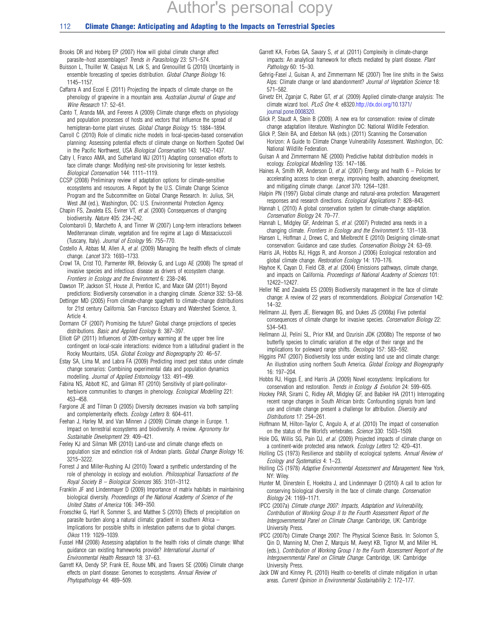# Author's personal copy

# <span id="page-13-0"></span>112 Climate Change: Anticipating and Adapting to the Impacts on Terrestrial Species

Brooks DR and Hoberg EP (2007) How will global climate change affect parasite–host assemblages? Trends in Parasitology 23: 571–574.

Buisson L, Thuiller W, Casajus N, Lek S, and Grenouillet G (2010) Uncertainty in ensemble forecasting of species distribution. Global Change Biology 16: 1145–1157.

Caffarra A and Eccel E (2011) Projecting the impacts of climate change on the phenology of grapevine in a mountain area. Australian Journal of Grape and Wine Research 17: 52-61

Canto T, Aranda MA, and Fereres A (2009) Climate change effects on physiology and population processes of hosts and vectors that influence the spread of hemipteran-borne plant viruses. Global Change Biology 15: 1884–1894.

Carroll C (2010) Role of climatic niche models in focal-species-based conservation planning: Assessing potential effects of climate change on Northern Spotted Owl in the Pacific Northwest, USA Biological Conservation 143: 1432-1437.

Catry I, Franco AMA, and Sutherland WJ (2011) Adapting conservation efforts to face climate change: Modifying nest-site provisioning for lesser kestrels. Biological Conservation 144: 1111–1119.

CCSP (2008) Preliminary review of adaptation options for climate-sensitive ecosystems and resources. A Report by the U.S. Climate Change Science Program and the Subcommittee on Global Change Research. In: Julius, SH, West JM (ed.), Washington, DC: U.S. Environmental Protection Agency.

Chapin FS, Zavaleta ES, Eviner VT, et al. (2000) Consequences of changing biodiversity. Nature 405: 234–242.

Colombaroli D, Marchetto A, and Tinner W (2007) Long-term interactions between Mediterranean climate, vegetation and fire regime at Lago di Massaciuccoli (Tuscany, Italy). Journal of Ecology 95: 755–770.

Costello A, Abbas M, Allen A, et al. (2009) Managing the health effects of climate change. Lancet 373: 1693–1733.

Crowl TA, Crist TO, Parmenter RR, Belovsky G, and Lugo AE (2008) The spread of invasive species and infectious disease as drivers of ecosystem change. Frontiers in Ecology and the Environment 6: 238–246.

Dawson TP, Jackson ST, House JI, Prentice IC, and Mace GM (2011) Beyond predictions: Biodiversity conservation in a changing climate. Science 332: 53–58. Dettinger MD (2005) From climate-change spaghetti to climate-change distributions

for 21st century California. San Francisco Estuary and Watershed Science, 3, Article 4.

Dormann CF (2007) Promising the future? Global change projections of species distributions. Basic and Applied Ecology 8: 387-397.

Elliott GP (2011) Influences of 20th-century warming at the upper tree line contingent on local-scale interactions: evidence from a latitudinal gradient in the Rocky Mountains, USA. Global Ecology and Biogeography 20: 46–57.

Estay SA, Lima M, and Labra FA (2009) Predicting insect pest status under climate change scenarios: Combining experimental data and population dynamics modelling. Journal of Applied Entomology 133: 491–499.

Fabina NS, Abbott KC, and Gilman RT (2010) Sensitivity of plant-pollinatorherbivore communities to changes in phenology. Ecological Modelling 221: 453–458.

Fargione JE and Tilman D (2005) Diversity decreases invasion via both sampling and complementarity effects. Ecology Letters 8: 604-611.

Feehan J, Harley M, and Van Minnen J (2009) Climate change in Europe. 1. Impact on terrestrial ecosystems and biodiversity. A review. Agronomy for Sustainable Development 29: 409–421.

Feeley KJ and Silman MR (2010) Land-use and climate change effects on population size and extinction risk of Andean plants. *Global Change Biology* 16: 3215–3222.

Forrest J and Miller-Rushing AJ (2010) Toward a synthetic understanding of the role of phenology in ecology and evolution. Philosophical Transactions of the Royal Society B – Biological Sciences 365: 3101–3112.

Franklin JF and Lindenmayer D (2009) Importance of matrix habitats in maintaining biological diversity. Proceedings of the National Academy of Science of the United States of America 106: 349–350.

Froeschke G, Harf R, Sommer S, and Matthee S (2010) Effects of precipitation on parasite burden along a natural climatic gradient in southern Africa – Implications for possible shifts in infestation patterns due to global changes. Oikos 119: 1029–1039.

Fussel HM (2008) Assessing adaptation to the health risks of climate change: What guidance can existing frameworks provide? International Journal of Environmental Health Research 18: 37–63.

Garrett KA, Dendy SP, Frank EE, Rouse MN, and Travers SE (2006) Climate change effects on plant disease: Genomes to ecosystems. Annual Review of Phytopathology 44: 489-509.

Garrett KA, Forbes GA, Savary S, et al. (2011) Complexity in climate-change impacts: An analytical framework for effects mediated by plant disease. Plant Pathology 60: 15–30.

Gehrig-Fasel J, Guisan A, and Zimmermann NE (2007) Tree line shifts in the Swiss Alps: Climate change or land abandonment? Journal of Vegetation Science 18: 571–582.

Girvetz EH, Zganjar C, Raber GT, et al. (2009) Applied climate-change analysis: The climate wizard tool. PLoS One 4: e8320.[http://dx.doi.org/10.1371/](dx.doi.org/10.1371/journal.pone.0008320) [journal.pone.0008320.](dx.doi.org/10.1371/journal.pone.0008320)

Glick P, Staudt A, Stein B (2009). A new era for conservation: review of climate change adaptation literature. Washington DC: National Wildlife Federation.

Glick P, Stein BA, and Edelson NA (eds.) (2011) Scanning the Conservation Horizon: A Guide to Climate Change Vulnerability Assessment. Washington, DC: National Wildlife Federation.

Guisan A and Zimmermann NE (2000) Predictive habitat distribution models in ecology. Ecological Modelling 135: 147–186.

Haines A, Smith KR, Anderson D, et al. (2007) Energy and health  $6 -$  Policies for accelerating access to clean energy, improving health, advancing development, and mitigating climate change. Lancet 370: 1264–1281.

Halpin PN (1997) Global climate change and natural-area protection: Management responses and research directions. Ecological Applications 7: 828–843.

Hannah L (2010) A global conservation system for climate-change adaptation. Conservation Biology 24: 70–77.

Hannah L, Midgley GF, Andelman S, et al. (2007) Protected area needs in a changing climate. Frontiers in Ecology and the Environment 5: 131–138.

Hansen L, Hoffman J, Drews C, and Mielbrecht E (2010) Designing climate-smart conservation: Guidance and case studies. Conservation Biology 24: 63–69.

Harris JA, Hobbs RJ, Higgs R, and Aronson J (2006) Ecological restoration and global climate change. Restoration Ecology 14: 170-176.

Hayhoe K, Cayan D, Field CB, et al. (2004) Emissions pathways, climate change, and impacts on California. Proceedings of National Academy of Sciences 101: 12422–12427.

Heller NE and Zavaleta ES (2009) Biodiversity management in the face of climate change: A review of 22 years of recommendations. Biological Conservation 142: 14–32.

Hellmann JJ, Byers JE, Bierwagen BG, and Dukes JS (2008a) Five potential consequences of climate change for invasive species. Conservation Biology 22: 534–543.

Hellmann JJ, Pelini SL, Prior KM, and Dzurisin JDK (2008b) The response of two butterfly species to climatic variation at the edge of their range and the implications for poleward range shifts. Oecologia 157: 583-592.

Higgins PAT (2007) Biodiversity loss under existing land use and climate change: An illustration using northern South America. Global Ecology and Biogeography 16: 197–204.

Hobbs RJ, Higgs E, and Harris JA (2009) Novel ecosystems: Implications for conservation and restoration. Trends in Ecology & Evolution 24: 599-605.

Hockey PAR, Sirami C, Ridley AR, Midgley GF, and Babiker HA (2011) Interrogating recent range changes in South African birds: Confounding signals from land use and climate change present a challenge for attribution. Diversity and Distributions 17: 254–261.

Hoffmann M, Hilton-Taylor C, Angulo A, et al. (2010) The impact of conservation on the status of the World's vertebrates. Science 330: 1503-1509.

Hole DG, Willis SG, Pain DJ, et al. (2009) Projected impacts of climate change on a continent-wide protected area network. Ecology Letters 12: 420–431.

Holling CS (1973) Resilience and stability of ecological systems. Annual Review of Ecology and Systematics 4: 1–23.

Holling CS (1978) Adaptive Environmental Assessment and Management. New York, NY: Wiley.

Hunter M, Dinerstein E, Hoekstra J, and Lindenmayer D (2010) A call to action for conserving biological diversity in the face of climate change. Conservation Biology 24: 1169–1171.

IPCC (2007a) Climate change 2007: Impacts, Adaptation and Vulnerability, Contribution of Working Group II to the Fourth Assessment Report of the Intergovernmental Panel on Climate Change. Cambridge, UK: Cambridge University Press.

IPCC (2007b) Climate Change 2007: The Physical Science Basis. In: Solomon S, Qin D, Manning M, Chen Z, Marquis M, Averyt KB, Tignor M, and Miller HL (eds.), Contribution of Working Group I to the Fourth Assessment Report of the Intergovernmental Panel on Climate Change. Cambridge, UK: Cambridge University Press.

Jack DW and Kinney PL (2010) Health co-benefits of climate mitigation in urban areas. Current Opinion in Environmental Sustainability 2: 172–177.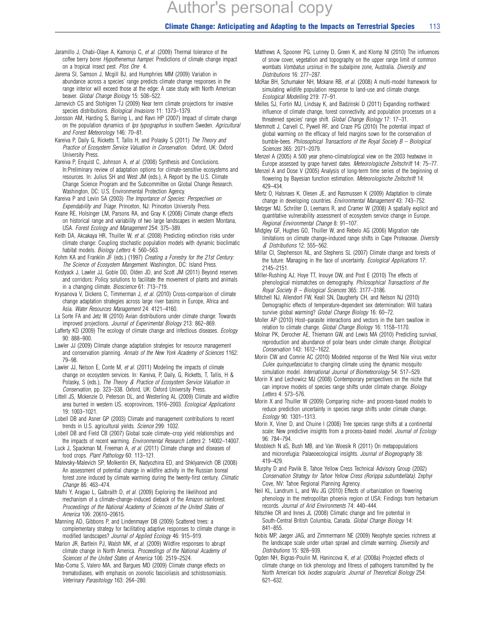- <span id="page-14-0"></span>Jaramillo J, Chabi-Olaye A, Kamonjo C, et al. (2009) Thermal tolerance of the coffee berry borer *Hypothenemus hampei*: Predictions of climate change impact on a tropical insect pest. Plos One 4.
- Jarema SI, Samson J, Mcgill BJ, and Humphries MM (2009) Variation in abundance across a species' range predicts climate change responses in the range interior will exceed those at the edge: A case study with North American beaver. Global Change Biology 15: 508–522.
- Jarnevich CS and Stohlgren TJ (2009) Near term climate projections for invasive species distributions. Biological Invasions 11: 1373–1379.
- Jonsson AM, Harding S, Barring L, and Ravn HP (2007) Impact of climate change on the population dynamics of Ips typographus in southern Sweden. Agricultural and Forest Meteorology 146: 70–81.
- Kareiva P, Daily G, Ricketts T, Tallis H, and Polasky S (2011) The Theory and Practice of Ecosystem Service Valuation in Conservation. Oxford, UK: Oxford University Press.
- Kareiva P, Enquist C, Johnson A, et al. (2008) Synthesis and Conclusions. In:Preliminary review of adaptation options for climate-sensitive ecosystems and resources. In: Julius SH and West JM (eds.), A Report by the U.S. Climate Change Science Program and the Subcommittee on Global Change Research. Washington, DC: U.S. Environmental Protection Agency.
- Kareiva P and Levin SA (2003) The Importance of Species: Perspectives on Expendability and Triage. Princeton, NJ: Princeton University Press.
- Keane RE, Holsinger LM, Parsons RA, and Gray K (2008) Climate change effects on historical range and variability of two large landscapes in western Montana, USA. Forest Ecology and Management 254: 375–389.
- Keith DA, Akcakaya HR, Thuiller W, et al. (2008) Predicting extinction risks under climate change: Coupling stochastic population models with dynamic bioclimatic habitat models. Biology Letters 4: 560-563.
- Kohm KA and Franklin JF (eds.) (1997) Creating a Forestry for the 21st Century: The Science of Ecosystem Mangement. Washington, DC: Island Press.
- Kostyack J, Lawler JJ, Goble DD, Olden JD, and Scott JM (2011) Beyond reserves and corridors: Policy solutions to facilitate the movement of plants and animals in a changing climate. Bioscience 61: 713–719.
- Krysanova V, Dickens C, Timmerman J, et al. (2010) Cross-comparison of climate change adaptation strategies across large river basins in Europe, Africa and Asia. Water Resources Management 24: 4121–4160.
- La Sorte FA and Jetz W (2010) Avian distributions under climate change: Towards improved projections. Journal of Experimental Biology 213: 862-869.
- Lafferty KD (2009) The ecology of climate change and infectious diseases. Ecology 90: 888–900.
- Lawler JJ (2009) Climate change adaptation strategies for resource management and conservation planning. Annals of the New York Academy of Sciences 1162: 79–98.
- Lawler JJ, Nelson E, Conte M, et al. (2011) Modeling the impacts of climate change on ecosystem services. In: Kareiva, P, Daily, G, Ricketts, T, Tallis, H & Polasky, S (eds.), The Theory & Practice of Ecosystem Service Valuation in Conservation, pp. 323–338. Oxford, UK: Oxford University Press.
- Littell JS, Mckenzie D, Peterson DL, and Westerling AL (2009) Climate and wildfire area burned in western US. ecoprovinces, 1916–2003. Ecological Applications 19: 1003–1021.
- Lobell DB and Asner GP (2003) Climate and management contributions to recent trends in U.S. agricultural yields. Science 299: 1032.
- Lobell DB and Field CB (2007) Global scale climate–crop yield relationships and the impacts of recent warming. Environmental Research Letters 2: 14002–14007.
- Luck J, Spackman M, Freeman A, et al. (2011) Climate change and diseases of food crops. Plant Pathology 60: 113–121.
- Malevsky-Malevich SP, Molkentin EK, Nadyozhina ED, and Shklyarevich OB (2008) An assessment of potential change in wildfire activity in the Russian boreal forest zone induced by climate warming during the twenty-first century. Climatic Change 86: 463–474.
- Malhi Y, Aragao L, Galbraith D, et al. (2009) Exploring the likelihood and mechanism of a climate-change-induced dieback of the Amazon rainforest. Proceedings of the National Academy of Sciences of the United States of America 106: 20610–20615.
- Manning AD, Gibbons P, and Lindenmayer DB (2009) Scattered trees: a complementary strategy for facilitating adaptive responses to climate change in modified landscapes? Journal of Applied Ecology 46: 915–919.
- Marlon JR, Bartlein PJ, Walsh MK, et al. (2009) Wildfire responses to abrupt climate change in North America. Proceedings of the National Academy of Sciences of the United States of America 106: 2519–2524.
- Mas-Coma S, Valero MA, and Bargues MD (2009) Climate change effects on trematodiases, with emphasis on zoonotic fascioliasis and schistosomiasis. Veterinary Parasitology 163: 264–280.
- Matthews A, Spooner PG, Lunney D, Green K, and Klomp NI (2010) The influences of snow cover, vegetation and topography on the upper range limit of common wombats Vombatus ursinus in the subalpine zone, Australia. Diversity and Distributions 16: 277–287.
- McRae BH, Schumaker NH, Mckane RB, et al. (2008) A multi-model framework for simulating wildlife population response to land-use and climate change. Ecological Modelling 219: 77–91.
- Melles SJ, Fortin MJ, Lindsay K, and Badzinski D (2011) Expanding northward: influence of climate change, forest connectivity, and population processes on a threatened species' range shift. Global Change Biology 17: 17–31.
- Memmott J, Carvell C, Pywell RF, and Craze PG (2010) The potential impact of global warming on the efficacy of field margins sown for the conservation of bumble-bees. Philosophical Transactions of the Royal Society  $B - Biological$ Sciences 365: 2071–2079.
- Menzel A (2005) A 500 year pheno-climatological view on the 2003 heatwave in Europe assessed by grape harvest dates. Meteorologische Zeitschrift 14: 75–77.
- Menzel A and Dose V (2005) Analysis of long-term time series of the beginning of flowering by Bayesian function estimation. Meteorologische Zeitschrift 14: 429–434.
- Mertz O, Halsnaes K, Olesen JE, and Rasmussen K (2009) Adaptation to climate change in developing countries. Environmental Management 43: 743–752.
- Metzger MJ, Schröter D, Leemans R, and Cramer W (2008) A spatially explicit and quantitative vulnerability assessment of ecosystem service change in Europe. Regional Environmental Change 8: 91–107.
- Midgley GF, Hughes GO, Thuiller W, and Rebelo AG (2006) Migration rate limitations on climate change-induced range shifts in Cape Proteaceae. Diversity & Distributions 12: 555–562.
- Millar CI, Stephenson NL, and Stephens SL (2007) Climate change and forests of the future: Managing in the face of uncertainty. Ecological Applications 17: 2145–2151.
- Miller-Rushing AJ, Hoye TT, Inouye DW, and Post E (2010) The effects of phenological mismatches on demography. Philosophical Transactions of the Royal Society B – Biological Sciences 365: 3177–3186.
- Mitchell NJ, Allendorf FW, Keall SN, Daugherty CH, and Nelson NJ (2010) Demographic effects of temperature-dependent sex determination: Will tuatara survive global warming? Global Change Biology 16: 60-72.
- Moller AP (2010) Host–parasite interactions and vectors in the barn swallow in relation to climate change. Global Change Biology 16: 1158-1170.
- Molnar PK, Derocher AE, Thiemann GW, and Lewis MA (2010) Predicting survival, reproduction and abundance of polar bears under climate change. Biological Conservation 143: 1612–1622.
- Morin CW and Comrie AC (2010) Modeled response of the West Nile virus vector Culex quinquefasciatus to changing climate using the dynamic mosquito simulation model. International Journal of Biometeorology 54: 517-529.
- Morin X and Lechowicz MJ (2008) Contemporary perspectives on the niche that can improve models of species range shifts under climate change. Biology Letters 4: 573–576.
- Morin X and Thuiller W (2009) Comparing niche- and process-based models to reduce prediction uncertainty in species range shifts under climate change. Ecology 90: 1301–1313.
- Morin X, Viner D, and Chuine I (2008) Tree species range shifts at a continental scale: New predictive insights from a process-based model. Journal of Ecology 96: 784–794.
- Mosblech N aS, Bush MB, and Van Woesik R (2011) On metapopulations and microrefugia: Palaeoecological insights. Journal of Biogeography 38: 419–429.
- Murphy D and Pavlik B, Tahoe Yellow Cress Technical Advisory Group (2002) Conservation Strategy for Tahoe Yellow Cress (Rorippa subumbellata). Zephyr Cove, NV: Tahoe Regional Planning Agrency.
- Neil KL, Landrum L, and Wu JG (2010) Effects of urbanization on flowering phenology in the metropolitan phoenix region of USA: Findings from herbarium records. Journal of Arid Environments 74: 440–444.
- Nitschke CR and Innes JL (2008) Climatic change and fire potential in South-Central British Columbia, Canada. Global Change Biology 14: 841–855.
- Nobis MP, Jaeger JAG, and Zimmermann NE (2009) Neophyte species richness at the landscape scale under urban sprawl and climate warming. Diversity and Distributions 15: 928–939.
- Ogden NH, Bigras-Poulin M, Hanincova K, et al. (2008a) Projected effects of climate change on tick phenology and fitness of pathogens transmitted by the North American tick Ixodes scapularis. Journal of Theoretical Biology 254: 621–632.